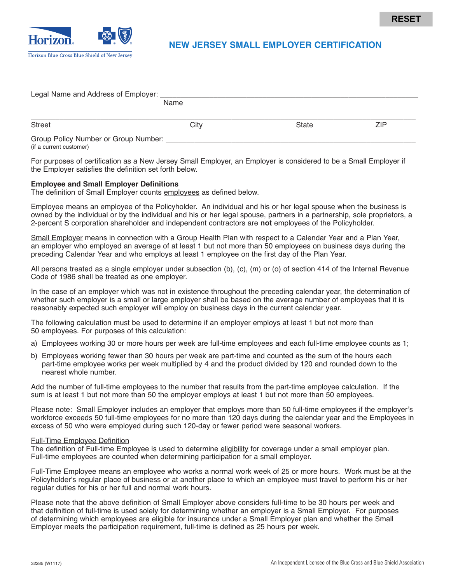

| Legal Name and Address of Employer: _ |      |              |     |  |  |
|---------------------------------------|------|--------------|-----|--|--|
|                                       | Name |              |     |  |  |
|                                       |      |              |     |  |  |
| <b>Street</b>                         | City | <b>State</b> | ZIP |  |  |
| Group Policy Number or Group Number:  |      |              |     |  |  |

(if a current customer)

For purposes of certification as a New Jersey Small Employer, an Employer is considered to be a Small Employer if the Employer satisfies the definition set forth below.

# **Employee and Small Employer Definitions**

The definition of Small Employer counts employees as defined below.

Employee means an employee of the Policyholder. An individual and his or her legal spouse when the business is owned by the individual or by the individual and his or her legal spouse, partners in a partnership, sole proprietors, a 2-percent S corporation shareholder and independent contractors are **not** employees of the Policyholder.

Small Employer means in connection with a Group Health Plan with respect to a Calendar Year and a Plan Year, an employer who employed an average of at least 1 but not more than 50 employees on business days during the preceding Calendar Year and who employs at least 1 employee on the first day of the Plan Year.

All persons treated as a single employer under subsection (b), (c), (m) or (o) of section 414 of the Internal Revenue Code of 1986 shall be treated as one employer.

In the case of an employer which was not in existence throughout the preceding calendar year, the determination of whether such employer is a small or large employer shall be based on the average number of employees that it is reasonably expected such employer will employ on business days in the current calendar year.

The following calculation must be used to determine if an employer employs at least 1 but not more than 50 employees. For purposes of this calculation:

- a) Employees working 30 or more hours per week are full-time employees and each full-time employee counts as 1;
- b) Employees working fewer than 30 hours per week are part-time and counted as the sum of the hours each part-time employee works per week multiplied by 4 and the product divided by 120 and rounded down to the nearest whole number.

Add the number of full-time employees to the number that results from the part-time employee calculation. If the sum is at least 1 but not more than 50 the employer employs at least 1 but not more than 50 employees.

Please note: Small Employer includes an employer that employs more than 50 full-time employees if the employer's workforce exceeds 50 full-time employees for no more than 120 days during the calendar year and the Employees in excess of 50 who were employed during such 120-day or fewer period were seasonal workers.

#### Full-Time Employee Definition

The definition of Full-time Employee is used to determine eligibility for coverage under a small employer plan. Full-time employees are counted when determining participation for a small employer.

Full-Time Employee means an employee who works a normal work week of 25 or more hours. Work must be at the Policyholder's regular place of business or at another place to which an employee must travel to perform his or her regular duties for his or her full and normal work hours.

Please note that the above definition of Small Employer above considers full-time to be 30 hours per week and that definition of full-time is used solely for determining whether an employer is a Small Employer. For purposes of determining which employees are eligible for insurance under a Small Employer plan and whether the Small Employer meets the participation requirement, full-time is defined as 25 hours per week.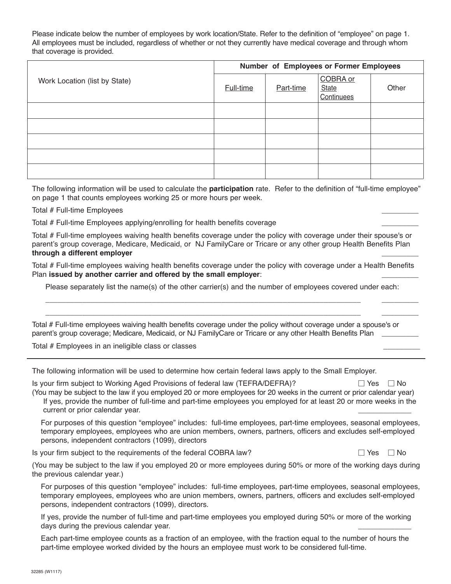Please indicate below the number of employees by work location/State. Refer to the definition of "employee" on page 1. All employees must be included, regardless of whether or not they currently have medical coverage and through whom that coverage is provided.

| Work Location (list by State) | Number of Employees or Former Employees |           |                                        |       |
|-------------------------------|-----------------------------------------|-----------|----------------------------------------|-------|
|                               | Full-time                               | Part-time | COBRA or<br><b>State</b><br>Continuees | Other |
|                               |                                         |           |                                        |       |
|                               |                                         |           |                                        |       |
|                               |                                         |           |                                        |       |
|                               |                                         |           |                                        |       |
|                               |                                         |           |                                        |       |

The following information will be used to calculate the **participation** rate. Refer to the definition of "full-time employee" on page 1 that counts employees working 25 or more hours per week.

### Total # Full-time Employees \_\_\_\_\_\_\_\_\_

Total # Full-time Employees applying/enrolling for health benefits coverage \_\_\_\_\_\_\_\_\_

Total # Full-time employees waiving health benefits coverage under the policy with coverage under their spouse's or parent's group coverage, Medicare, Medicaid, or NJ FamilyCare or Tricare or any other group Health Benefits Plan **through a different employer** \_\_\_\_\_\_\_\_\_

Total # Full-time employees waiving health benefits coverage under the policy with coverage under a Health Benefits Plan **issued by another carrier and offered by the small employer:** 

Please separately list the name(s) of the other carrier(s) and the number of employees covered under each:

\_\_\_\_\_\_\_\_\_\_\_\_\_\_\_\_\_\_\_\_\_\_\_\_\_\_\_\_\_\_\_\_\_\_\_\_\_\_\_\_\_\_\_\_\_\_\_\_\_\_\_\_\_\_\_\_\_\_\_\_\_\_\_\_\_\_\_\_\_\_\_\_\_\_\_\_\_ \_\_\_\_\_\_\_\_\_ \_\_\_\_\_\_\_\_\_\_\_\_\_\_\_\_\_\_\_\_\_\_\_\_\_\_\_\_\_\_\_\_\_\_\_\_\_\_\_\_\_\_\_\_\_\_\_\_\_\_\_\_\_\_\_\_\_\_\_\_\_\_\_\_\_\_\_\_\_\_\_\_\_\_\_\_\_ \_\_\_\_\_\_\_\_\_

Total # Full-time employees waiving health benefits coverage under the policy without coverage under a spouse's or parent's group coverage; Medicare, Medicaid, or NJ FamilyCare or Tricare or any other Health Benefits Plan \_\_\_

Total # Employees in an ineligible class or classes \_\_\_\_\_\_\_\_\_

The following information will be used to determine how certain federal laws apply to the Small Employer.

Is your firm subject to Working Aged Provisions of federal law (TEFRA/DEFRA)?  $\Box$  Yes  $\Box$  No (You may be subject to the law if you employed 20 or more employees for 20 weeks in the current or prior calendar year)

If yes, provide the number of full-time and part-time employees you employed for at least 20 or more weeks in the current or prior calendar year.

For purposes of this question "employee" includes: full-time employees, part-time employees, seasonal employees, temporary employees, employees who are union members, owners, partners, officers and excludes self-employed persons, independent contractors (1099), directors

Is your firm subject to the requirements of the federal COBRA law?

 $\Box$  Yes  $\Box$  No

(You may be subject to the law if you employed 20 or more employees during 50% or more of the working days during the previous calendar year.)

For purposes of this question "employee" includes: full-time employees, part-time employees, seasonal employees, temporary employees, employees who are union members, owners, partners, officers and excludes self-employed persons, independent contractors (1099), directors.

If yes, provide the number of full-time and part-time employees you employed during 50% or more of the working days during the previous calendar year.

Each part-time employee counts as a fraction of an employee, with the fraction equal to the number of hours the part-time employee worked divided by the hours an employee must work to be considered full-time.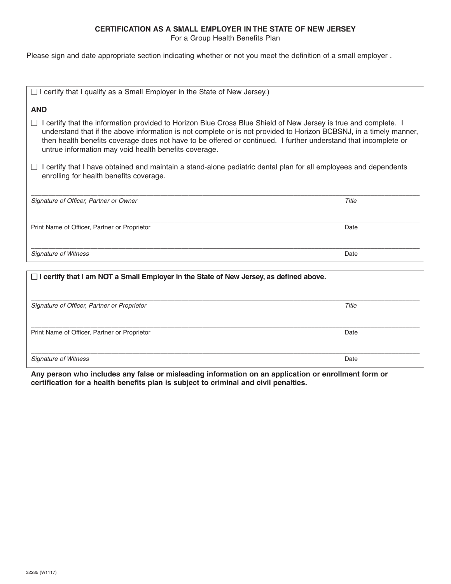# **CERTIFICATION AS A SMALL EMPLOYER IN THE STATE OF NEW JERSEY**

For a Group Health Benefits Plan

Please sign and date appropriate section indicating whether or not you meet the definition of a small employer .

| $\Box$ I certify that I qualify as a Small Employer in the State of New Jersey.)                                                                                                                                                                                                                                                                                                                                            |       |  |  |  |
|-----------------------------------------------------------------------------------------------------------------------------------------------------------------------------------------------------------------------------------------------------------------------------------------------------------------------------------------------------------------------------------------------------------------------------|-------|--|--|--|
| <b>AND</b>                                                                                                                                                                                                                                                                                                                                                                                                                  |       |  |  |  |
| I certify that the information provided to Horizon Blue Cross Blue Shield of New Jersey is true and complete. I<br>$\Box$<br>understand that if the above information is not complete or is not provided to Horizon BCBSNJ, in a timely manner,<br>then health benefits coverage does not have to be offered or continued. I further understand that incomplete or<br>untrue information may void health benefits coverage. |       |  |  |  |
| I certify that I have obtained and maintain a stand-alone pediatric dental plan for all employees and dependents<br>enrolling for health benefits coverage.                                                                                                                                                                                                                                                                 |       |  |  |  |
| Signature of Officer, Partner or Owner                                                                                                                                                                                                                                                                                                                                                                                      | Title |  |  |  |
| Print Name of Officer, Partner or Proprietor                                                                                                                                                                                                                                                                                                                                                                                | Date  |  |  |  |
| <b>Signature of Witness</b>                                                                                                                                                                                                                                                                                                                                                                                                 | Date  |  |  |  |
| $\Box$ I certify that I am NOT a Small Employer in the State of New Jersey, as defined above.                                                                                                                                                                                                                                                                                                                               |       |  |  |  |

| Signature of Officer, Partner or Proprietor  | Title |
|----------------------------------------------|-------|
|                                              |       |
| Print Name of Officer, Partner or Proprietor | Date  |
| <b>Signature of Witness</b>                  | Date  |

**Any person who includes any false or misleading information on an application or enrollment form or certification for a health benefits plan is subject to criminal and civil penalties.**